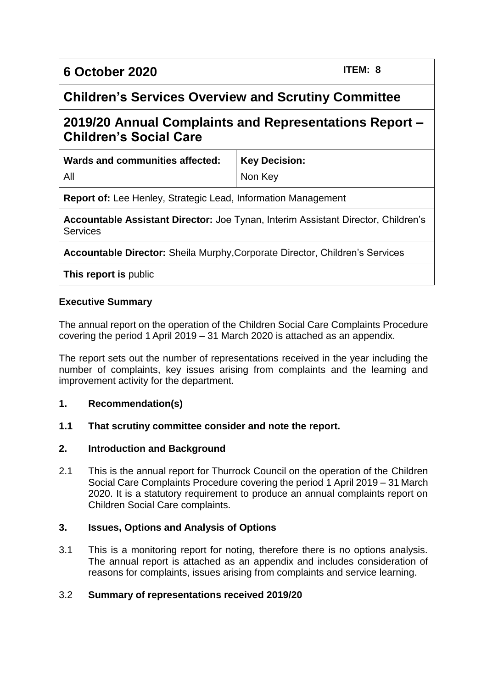| 6 October 2020 | $ $ ITEM: 8 |
|----------------|-------------|
|----------------|-------------|

## **Children's Services Overview and Scrutiny Committee**

# **2019/20 Annual Complaints and Representations Report – Children's Social Care**

| Wards and communities affected:                                                                      | <b>Key Decision:</b> |  |
|------------------------------------------------------------------------------------------------------|----------------------|--|
| All                                                                                                  | Non Key              |  |
| <b>Report of:</b> Lee Henley, Strategic Lead, Information Management                                 |                      |  |
| Accountable Assistant Director: Joe Tynan, Interim Assistant Director, Children's<br><b>Services</b> |                      |  |

**Accountable Director:** Sheila Murphy,Corporate Director, Children's Services

**This report is** public

#### **Executive Summary**

The annual report on the operation of the Children Social Care Complaints Procedure covering the period 1 April 2019 – 31 March 2020 is attached as an appendix.

The report sets out the number of representations received in the year including the number of complaints, key issues arising from complaints and the learning and improvement activity for the department.

#### **1. Recommendation(s)**

#### **1.1 That scrutiny committee consider and note the report.**

#### **2. Introduction and Background**

2.1 This is the annual report for Thurrock Council on the operation of the Children Social Care Complaints Procedure covering the period 1 April 2019 – 31 March 2020. It is a statutory requirement to produce an annual complaints report on Children Social Care complaints.

#### **3. Issues, Options and Analysis of Options**

3.1 This is a monitoring report for noting, therefore there is no options analysis. The annual report is attached as an appendix and includes consideration of reasons for complaints, issues arising from complaints and service learning.

#### 3.2 **Summary of representations received 2019/20**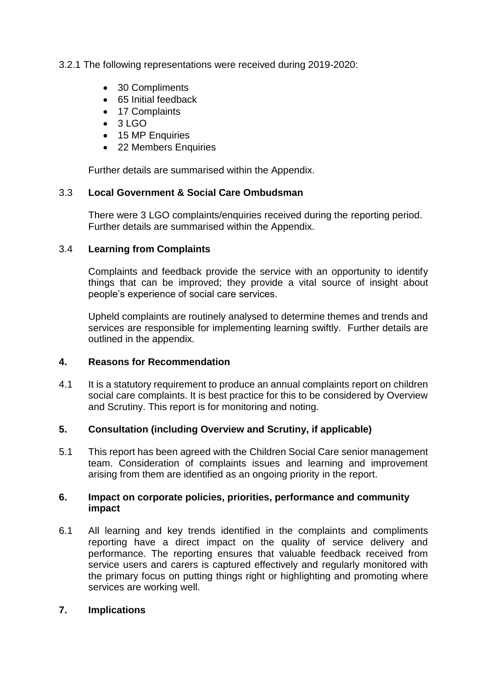#### 3.2.1 The following representations were received during 2019-2020:

- 30 Compliments
- 65 Initial feedback
- 17 Complaints
- $\bullet$  3 LGO
- 15 MP Enquiries
- 22 Members Enquiries

Further details are summarised within the Appendix.

#### 3.3 **Local Government & Social Care Ombudsman**

There were 3 LGO complaints/enquiries received during the reporting period. Further details are summarised within the Appendix.

#### 3.4 **Learning from Complaints**

Complaints and feedback provide the service with an opportunity to identify things that can be improved; they provide a vital source of insight about people's experience of social care services.

Upheld complaints are routinely analysed to determine themes and trends and services are responsible for implementing learning swiftly. Further details are outlined in the appendix.

#### **4. Reasons for Recommendation**

4.1 It is a statutory requirement to produce an annual complaints report on children social care complaints. It is best practice for this to be considered by Overview and Scrutiny. This report is for monitoring and noting.

#### **5. Consultation (including Overview and Scrutiny, if applicable)**

5.1 This report has been agreed with the Children Social Care senior management team. Consideration of complaints issues and learning and improvement arising from them are identified as an ongoing priority in the report.

#### **6. Impact on corporate policies, priorities, performance and community impact**

6.1 All learning and key trends identified in the complaints and compliments reporting have a direct impact on the quality of service delivery and performance. The reporting ensures that valuable feedback received from service users and carers is captured effectively and regularly monitored with the primary focus on putting things right or highlighting and promoting where services are working well.

#### **7. Implications**